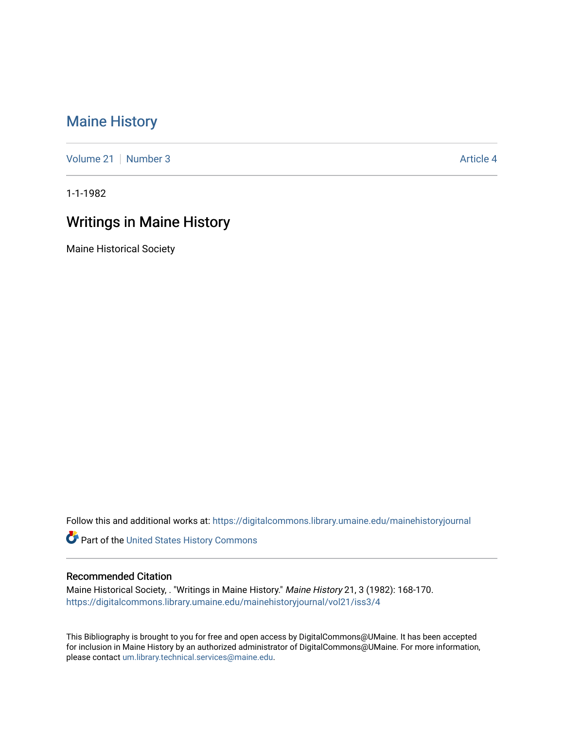## [Maine History](https://digitalcommons.library.umaine.edu/mainehistoryjournal)

[Volume 21](https://digitalcommons.library.umaine.edu/mainehistoryjournal/vol21) | [Number 3](https://digitalcommons.library.umaine.edu/mainehistoryjournal/vol21/iss3) Article 4

1-1-1982

## Writings in Maine History

Maine Historical Society

Follow this and additional works at: [https://digitalcommons.library.umaine.edu/mainehistoryjournal](https://digitalcommons.library.umaine.edu/mainehistoryjournal?utm_source=digitalcommons.library.umaine.edu%2Fmainehistoryjournal%2Fvol21%2Fiss3%2F4&utm_medium=PDF&utm_campaign=PDFCoverPages) 

Part of the [United States History Commons](http://network.bepress.com/hgg/discipline/495?utm_source=digitalcommons.library.umaine.edu%2Fmainehistoryjournal%2Fvol21%2Fiss3%2F4&utm_medium=PDF&utm_campaign=PDFCoverPages) 

## Recommended Citation

Maine Historical Society, . "Writings in Maine History." Maine History 21, 3 (1982): 168-170. [https://digitalcommons.library.umaine.edu/mainehistoryjournal/vol21/iss3/4](https://digitalcommons.library.umaine.edu/mainehistoryjournal/vol21/iss3/4?utm_source=digitalcommons.library.umaine.edu%2Fmainehistoryjournal%2Fvol21%2Fiss3%2F4&utm_medium=PDF&utm_campaign=PDFCoverPages)

This Bibliography is brought to you for free and open access by DigitalCommons@UMaine. It has been accepted for inclusion in Maine History by an authorized administrator of DigitalCommons@UMaine. For more information, please contact [um.library.technical.services@maine.edu.](mailto:um.library.technical.services@maine.edu)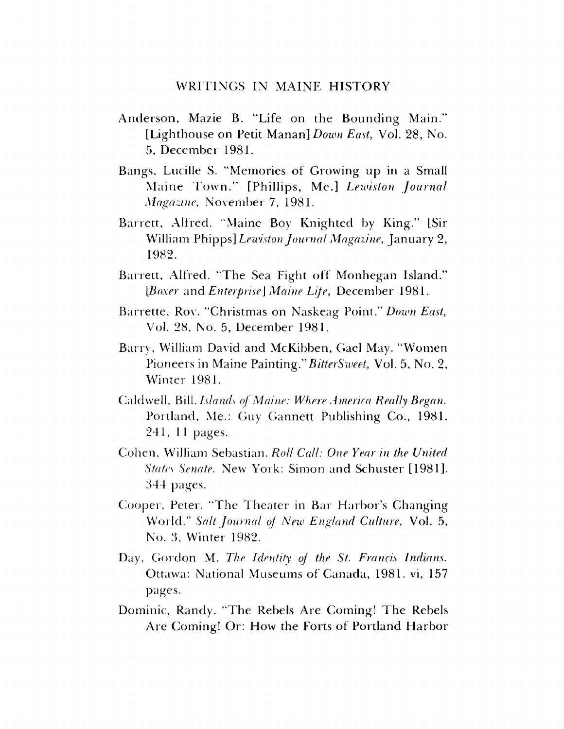## WRITINGS IN MAINE HISTORY

- Anderson, Mazie B. "Life on the Bounding Main." [Lighthouse on Petit Manan] *Down East*, Vol. 28, No. 5, December 1981.
- Bangs, Lucille S. "Memories of Growing up in a Small Maine Town." [Phillips, Me.] *Lewiston Journal Magazine*, November 7, 1981.
- Barrett, Alfred. "Maine Boy Knighted by King." [Sir William Phipps] *Lewiston Journal Magazine*, January 2, 1982.
- Barrett, Alfred. "The Sea Fight off Monhegan Island." *[Boxer and Enterprise] Maine Life,* December 1981.
- Barrette, Roy. "Christmas on Naskeag Point." Down East, Vol. 28, No. 5, December 1981.
- Barry, William David and McKibben, Gael May. "Women Pioneers in Maine Painting."*BitterSweet,* Vol. 5, No. 2, Winter 1981.
- Caldwell, Bill. *Islands of Maine: Where America Really Began.* Portland, Me.: Guy Gannett Publishing Co., 1981. 241, 11 pages.
- Cohen, William Sebastian. *Roll Call: One Year in the United States Senate.* New York: Simon and Schuster [1981]. 344 pages.
- Cooper, Peter. "The Theater in Bar Harbor's Changing World." *Salt Journal oj New England Culture*, Vol. 5, No. 3, Winter 1982.
- Day, Gordon M. *The Identity oj the St. Francis Indians.* Ottawa: National Museums of Canada, 1981. vi, 157 pages.
- Dominic, Randy. "The Rebels Are Coming! The Rebels Are Coming! Or: How the Forts of Portland Harbor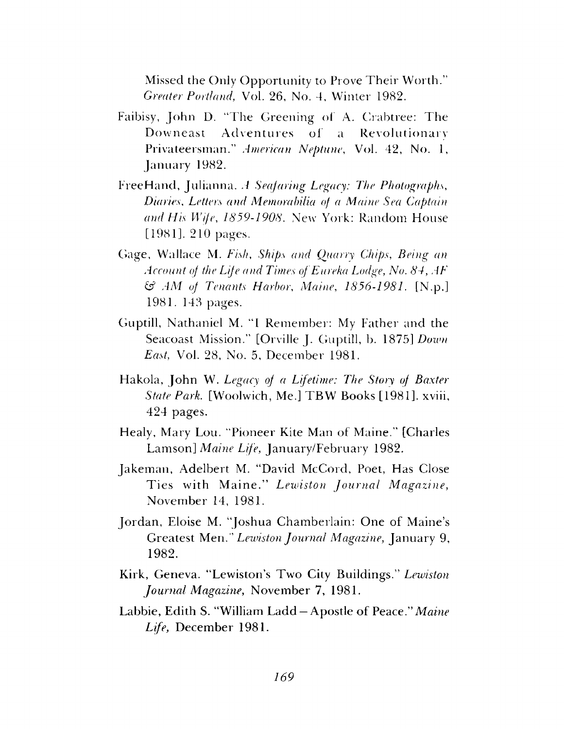Missed the Only Opportunity to Prove Their Worth." *Greater Portland,* Vol. 26, No. 4, Winter 1982.

- Faibisy, John D. "The Greening of A. Crabtree: The Downeast Adventures of a Revolutionary Privateersman." *American Neptune,* Vol. 42, No. 1, January 1982.
- Free Hand, Julianna. *A Seafaring Legacy: The Photographs*, *Diaries*, *Letters and Memorabilia of a Maine Sea Captain and His Wife*, *1859-1908,* New York: Random House [1981]. 210 pages.
- Gage, Wallace M. *Fish, Ships and Quarry Chips*, *Being an Account of the Life and Times of Eureka Lodge, No. 84, AF* £5? *AM of Tenants Harbor*, *Maine*, *1856-1981.* [N.p.] 1981. 148 pages.
- Guptill, Nathaniel M. "I Remember: My Father and the Seacoast Mission." [Orville J. Guptill, b. 1875] *Down East,* Vol. 28, No. 5, December 1981.
- Hakola, John W. *Legacy of a Lifetime: The Story of Baxter State Park.* [Woolwich, Me.] TBW Books [1981], xviii, 424 pages.
- Healy, Mary Lou. "Pioneer Kite Man of Maine." [Charles Lamson] *Maine Life,* January/February 1982.
- Jakeman, Adelbert M. "David McCord, Poet, Has Close Ties with Maine." Lewiston Journal Magazine, November 14, 1981.
- Jordan, Eloise M. "Joshua Chamberlain: One of Maine's Greatest *Wien." Lewiston Journal Magazine,* January 9, 1982.
- Kirk, Geneva. "Lewiston's Two City Buildings." *Lewiston Journal Magazine,* November 7, 1981.
- Labbie, Edith S. "William Ladd —Apostle of Peace." *Maine Life,* December 1981.